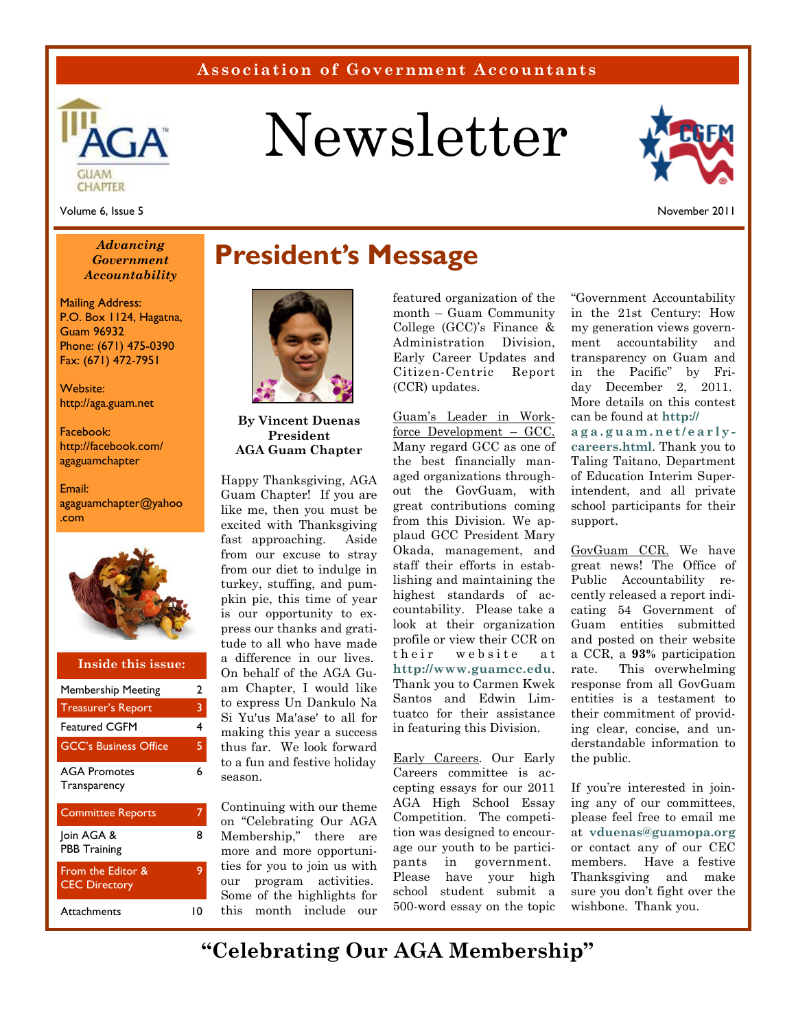### **Association of Government Accountants**



# Newsletter



Volume 6, Issue 5

November 2011

#### *Advancing Government Accountability*

Mailing Address: P.O. Box 1124, Hagatna, Guam 96932 Phone: (671) 475-0390 Fax: (671) 472-7951

Website: http://aga.guam.net

Facebook: http://facebook.com/ agaguamchapter

Email: agaguamchapter@yahoo .com



#### Membership Meeting 2 Featured CGFM 4 GCC's Business Office 5 AGA Promotes **Transparency** 6 Committee Reports 7 Join AGA & PBB Training 8 From the Editor & CEC Directory 9 Treasurer's Report 3 **Inside this issue:**

Attachments 10

### **President's Message**



**By Vincent Duenas President AGA Guam Chapter** 

Happy Thanksgiving, AGA Guam Chapter! If you are like me, then you must be excited with Thanksgiving fast approaching. Aside from our excuse to stray from our diet to indulge in turkey, stuffing, and pumpkin pie, this time of year is our opportunity to express our thanks and gratitude to all who have made a difference in our lives. On behalf of the AGA Guam Chapter, I would like to express Un Dankulo Na Si Yu'us Ma'ase' to all for making this year a success thus far. We look forward to a fun and festive holiday season.

Continuing with our theme on "Celebrating Our AGA Membership," there are more and more opportunities for you to join us with our program activities. Some of the highlights for this month include our featured organization of the month – Guam Community College (GCC)'s Finance & Administration Division, Early Career Updates and Citizen-Centric Report (CCR) updates.

Guam's Leader in Workforce Development – GCC. Many regard GCC as one of the best financially managed organizations throughout the GovGuam, with great contributions coming from this Division. We applaud GCC President Mary Okada, management, and staff their efforts in establishing and maintaining the highest standards of accountability. Please take a look at their organization profile or view their CCR on their website at **http://www.guamcc.edu**. Thank you to Carmen Kwek Santos and Edwin Limtuatco for their assistance in featuring this Division.

Early Careers. Our Early Careers committee is accepting essays for our 2011 AGA High School Essay Competition. The competition was designed to encourage our youth to be participants in government. Please have your high school student submit a 500-word essay on the topic

"Government Accountability in the 21st Century: How my generation views government accountability and transparency on Guam and in the Pacific" by Friday December 2, 2011. More details on this contest can be found at **http:// aga.guam.net/earlycareers.html**. Thank you to Taling Taitano, Department of Education Interim Superintendent, and all private school participants for their support.

GovGuam CCR. We have great news! The Office of Public Accountability recently released a report indicating 54 Government of Guam entities submitted and posted on their website a CCR, a **93%** participation rate. This overwhelming response from all GovGuam entities is a testament to their commitment of providing clear, concise, and understandable information to the public.

If you're interested in joining any of our committees, please feel free to email me at **vduenas@guamopa.org**  or contact any of our CEC members. Have a festive Thanksgiving and make sure you don't fight over the wishbone. Thank you.

**"Celebrating Our AGA Membership"**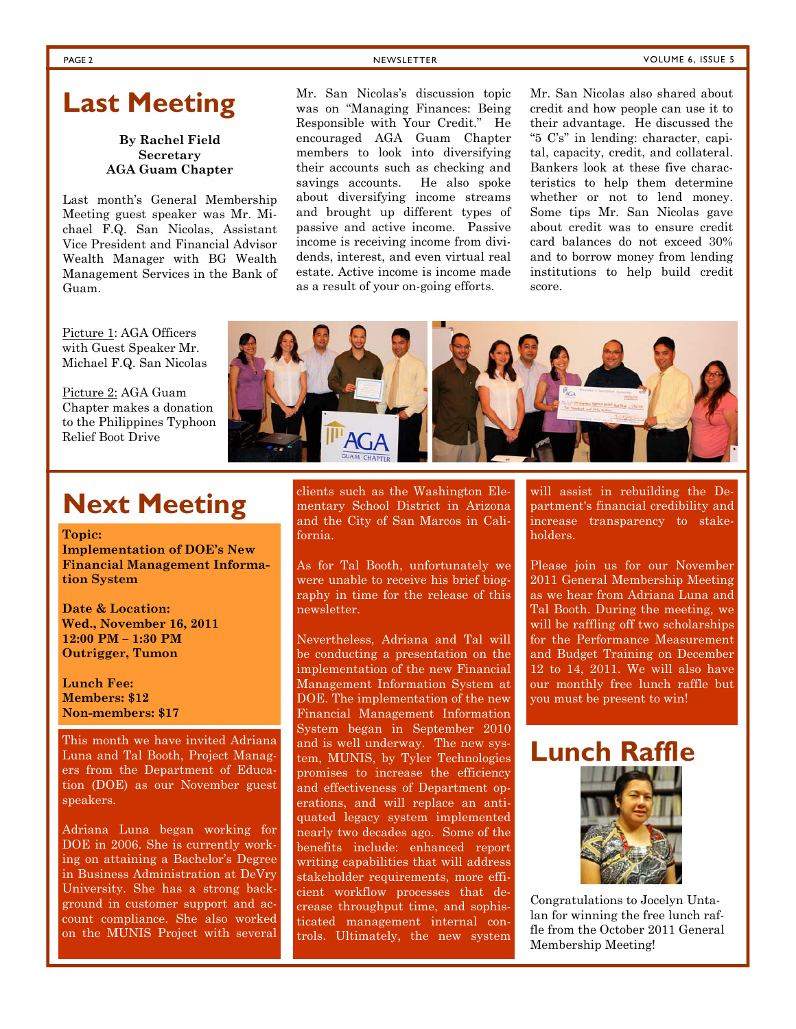### **Last Meeting**

#### **By Rachel Field Secretary AGA Guam Chapter**

Last month's General Membership Meeting guest speaker was Mr. Michael F.Q. San Nicolas, Assistant Vice President and Financial Advisor Wealth Manager with BG Wealth Management Services in the Bank of Guam.

Mr. San Nicolas's discussion topic was on "Managing Finances: Being Responsible with Your Credit." He encouraged AGA Guam Chapter members to look into diversifying their accounts such as checking and savings accounts. He also spoke about diversifying income streams and brought up different types of passive and active income. Passive income is receiving income from dividends, interest, and even virtual real estate. Active income is income made as a result of your on-going efforts.

Mr. San Nicolas also shared about credit and how people can use it to their advantage. He discussed the "5 C's" in lending: character, capital, capacity, credit, and collateral. Bankers look at these five characteristics to help them determine whether or not to lend money. Some tips Mr. San Nicolas gave about credit was to ensure credit card balances do not exceed 30% and to borrow money from lending institutions to help build credit score.

Picture 1: AGA Officers with Guest Speaker Mr. Michael F.Q. San Nicolas

Picture 2: AGA Guam Chapter makes a donation to the Philippines Typhoon Relief Boot Drive



### **Next Meeting**

**Topic:** 

**Implementation of DOE's New Financial Management Information System** 

**Date & Location: Wed., November 16, 2011 12:00 PM – 1:30 PM Outrigger, Tumon** 

**Lunch Fee: Members: \$12 Non-members: \$17** 

This month we have invited Adriana Luna and Tal Booth, Project Managers from the Department of Education (DOE) as our November guest speakers.

Adriana Luna began working for DOE in 2006. She is currently working on attaining a Bachelor's Degree in Business Administration at DeVry University. She has a strong background in customer support and account compliance. She also worked on the MUNIS Project with several

clients such as the Washington Elementary School District in Arizona and the City of San Marcos in California.

As for Tal Booth, unfortunately we were unable to receive his brief biography in time for the release of this newsletter.

Nevertheless, Adriana and Tal will be conducting a presentation on the implementation of the new Financial Management Information System at DOE. The implementation of the new Financial Management Information System began in September 2010 and is well underway. The new system, MUNIS, by Tyler Technologies promises to increase the efficiency and effectiveness of Department operations, and will replace an antiquated legacy system implemented nearly two decades ago. Some of the benefits include: enhanced report writing capabilities that will address stakeholder requirements, more efficient workflow processes that decrease throughput time, and sophisticated management internal controls. Ultimately, the new system

will assist in rebuilding the Department's financial credibility and increase transparency to stakeholders.

Please join us for our November 2011 General Membership Meeting as we hear from Adriana Luna and Tal Booth. During the meeting, we will be raffling off two scholarships for the Performance Measurement and Budget Training on December 12 to 14, 2011. We will also have our monthly free lunch raffle but you must be present to win!



Congratulations to Jocelyn Untalan for winning the free lunch raffle from the October 2011 General Membership Meeting!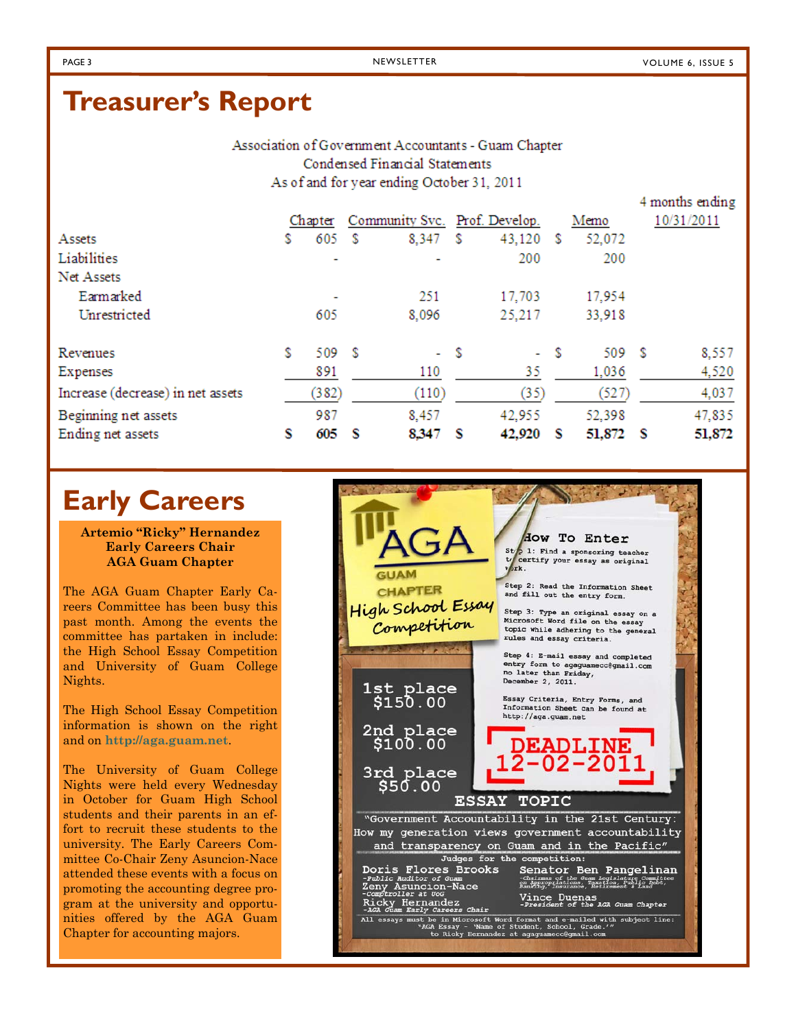4 months ending

### **Treasurer's Report**

Association of Government Accountants - Guam Chapter Condensed Financial Statements As of and for year ending October 31, 2011

|   |       |         |                      |   |        |                               |        | $1.444944440$ $0.4404444$ |
|---|-------|---------|----------------------|---|--------|-------------------------------|--------|---------------------------|
|   |       |         |                      |   |        |                               | Memo   | 10/31/2011                |
| S | 605   |         | 8,347                | s | 43,120 | S                             | 52,072 |                           |
|   | ٠     |         |                      |   | 200    |                               | 200    |                           |
|   |       |         |                      |   |        |                               |        |                           |
|   | ٠     |         | 251                  |   | 17,703 |                               | 17,954 |                           |
|   | 605   |         | 8,096                |   | 25,217 |                               | 33,918 |                           |
| s |       |         |                      |   |        | S                             |        | 8,557                     |
|   | 891   |         | 110                  |   | 35     |                               | 1,036  | 4,520                     |
|   | (382) |         | (110)                |   | (35)   |                               | (527)  | 4,037                     |
|   | 987   |         | 8,457                |   | 42,955 |                               | 52,398 | 47,835                    |
| s | 605   |         | 8.347                | s | 42,920 | s                             | 51,872 | 51,872                    |
|   |       | Chapter | - S<br>509 \$<br>- S |   | - \$   | Community Svc. Prof. Develop. | a.     | 509 \$<br>- S             |

### **Early Careers**

**Artemio "Ricky" Hernandez Early Careers Chair AGA Guam Chapter** 

The AGA Guam Chapter Early Careers Committee has been busy this past month. Among the events the committee has partaken in include: the High School Essay Competition and University of Guam College Nights.

The High School Essay Competition information is shown on the right and on **http://aga.guam.net**.

The University of Guam College Nights were held every Wednesday in October for Guam High School students and their parents in an effort to recruit these students to the university. The Early Careers Committee Co-Chair Zeny Asuncion-Nace attended these events with a focus on promoting the accounting degree program at the university and opportunities offered by the AGA Guam Chapter for accounting majors.

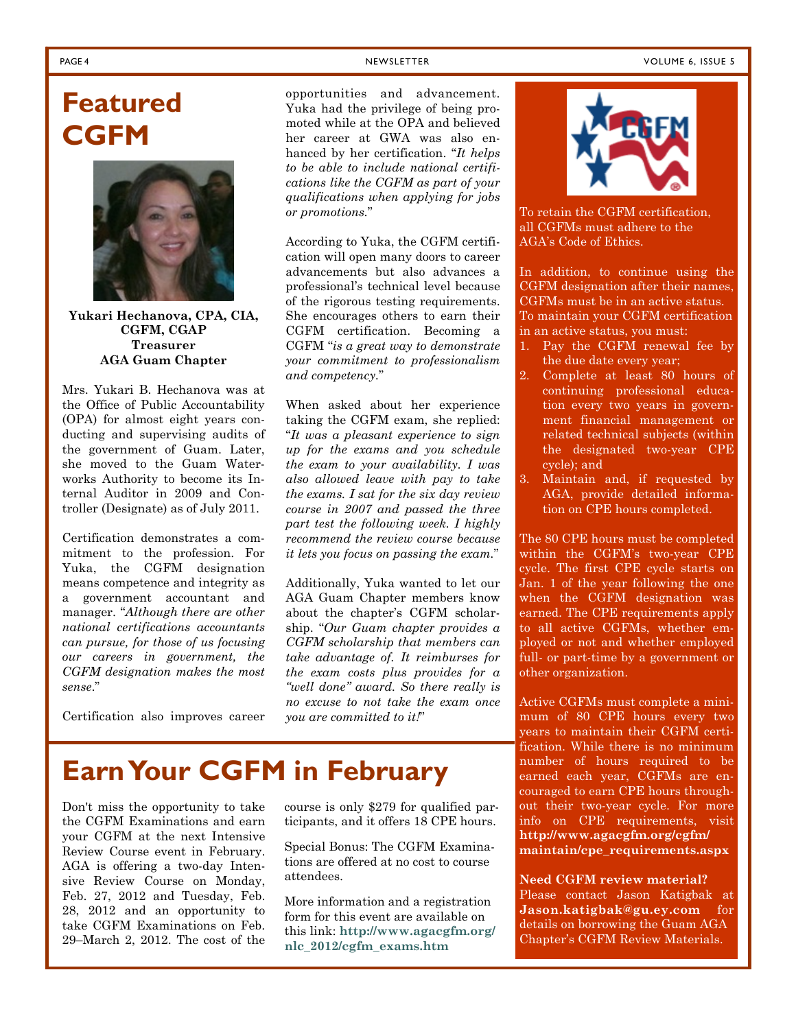## **Featured CGFM**



**Yukari Hechanova, CPA, CIA, CGFM, CGAP Treasurer AGA Guam Chapter** 

Mrs. Yukari B. Hechanova was at the Office of Public Accountability (OPA) for almost eight years conducting and supervising audits of the government of Guam. Later, she moved to the Guam Waterworks Authority to become its Internal Auditor in 2009 and Controller (Designate) as of July 2011.

Certification demonstrates a commitment to the profession. For Yuka, the CGFM designation means competence and integrity as a government accountant and manager. "*Although there are other national certifications accountants can pursue, for those of us focusing our careers in government, the CGFM designation makes the most sense*."

Certification also improves career

opportunities and advancement. Yuka had the privilege of being promoted while at the OPA and believed her career at GWA was also enhanced by her certification. "*It helps to be able to include national certifications like the CGFM as part of your qualifications when applying for jobs or promotions.*"

According to Yuka, the CGFM certification will open many doors to career advancements but also advances a professional's technical level because of the rigorous testing requirements. She encourages others to earn their CGFM certification. Becoming a CGFM "*is a great way to demonstrate your commitment to professionalism and competency.*"

When asked about her experience taking the CGFM exam, she replied: "*It was a pleasant experience to sign up for the exams and you schedule the exam to your availability. I was also allowed leave with pay to take the exams. I sat for the six day review course in 2007 and passed the three part test the following week. I highly recommend the review course because it lets you focus on passing the exam.*"

Additionally, Yuka wanted to let our AGA Guam Chapter members know about the chapter's CGFM scholarship. "*Our Guam chapter provides a CGFM scholarship that members can take advantage of. It reimburses for the exam costs plus provides for a "well done" award. So there really is no excuse to not take the exam once you are committed to it!*"

## **Earn Your CGFM in February**

Don't miss the opportunity to take the CGFM Examinations and earn your CGFM at the next Intensive Review Course event in February. AGA is offering a two-day Intensive Review Course on Monday, Feb. 27, 2012 and Tuesday, Feb. 28, 2012 and an opportunity to take CGFM Examinations on Feb. 29–March 2, 2012. The cost of the

course is only \$279 for qualified participants, and it offers 18 CPE hours.

Special Bonus: The CGFM Examinations are offered at no cost to course attendees.

More information and a registration form for this event are available on this link: **http://www.agacgfm.org/ nlc\_2012/cgfm\_exams.htm**



To retain the CGFM certification, all CGFMs must adhere to the AGA's Code of Ethics.

In addition, to continue using the CGFM designation after their names, CGFMs must be in an active status. To maintain your CGFM certification in an active status, you must:

- 1. Pay the CGFM renewal fee by the due date every year;
- 2. Complete at least 80 hours of continuing professional education every two years in government financial management or related technical subjects (within the designated two-year CPE cycle); and
- 3. Maintain and, if requested by AGA, provide detailed information on CPE hours completed.

The 80 CPE hours must be completed within the CGFM's two-year CPE cycle. The first CPE cycle starts on Jan. 1 of the year following the one when the CGFM designation was earned. The CPE requirements apply to all active CGFMs, whether employed or not and whether employed full- or part-time by a government or other organization.

Active CGFMs must complete a minimum of 80 CPE hours every two years to maintain their CGFM certification. While there is no minimum number of hours required to be earned each year, CGFMs are encouraged to earn CPE hours throughout their two-year cycle. For more info on CPE requirements, visit **http://www.agacgfm.org/cgfm/ maintain/cpe\_requirements.aspx** 

**Need CGFM review material?**  Please contact Jason Katigbak at **Jason.katigbak@gu.ey.com** for details on borrowing the Guam AGA Chapter's CGFM Review Materials.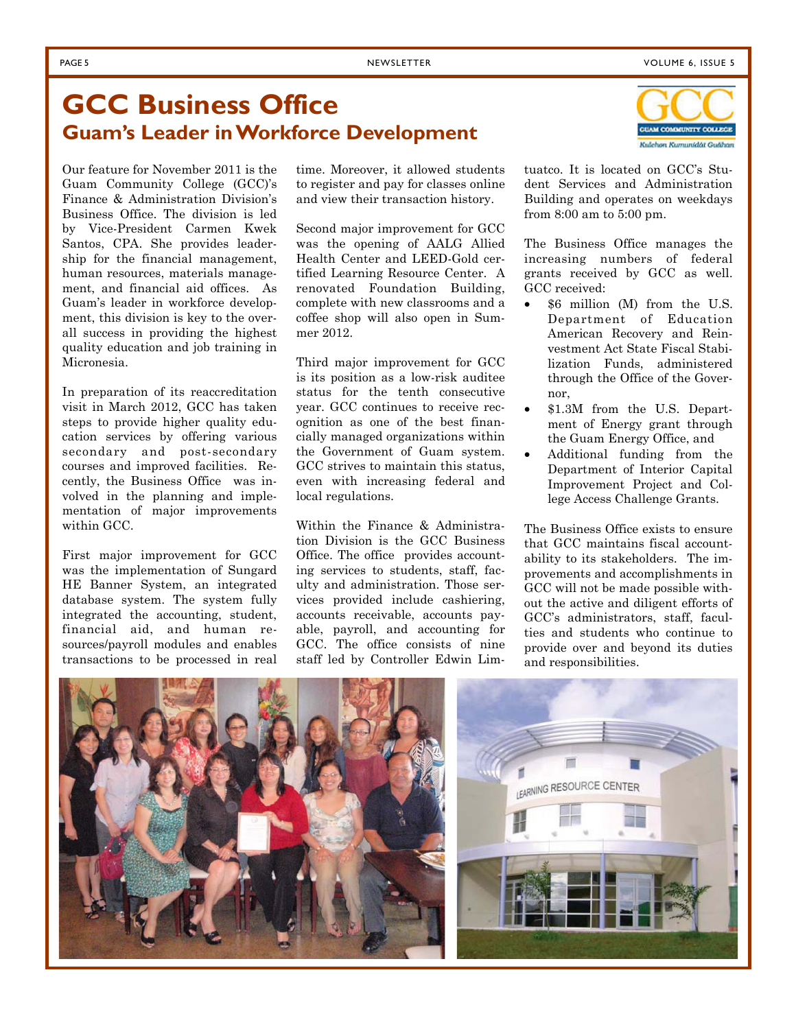Kulchon Kumunidat Gudhan

### **GCC Business Office Guam's Leader in Workforce Development**

Our feature for November 2011 is the Guam Community College (GCC)'s Finance & Administration Division's Business Office. The division is led by Vice-President Carmen Kwek Santos, CPA. She provides leadership for the financial management, human resources, materials management, and financial aid offices. As Guam's leader in workforce development, this division is key to the overall success in providing the highest quality education and job training in Micronesia.

In preparation of its reaccreditation visit in March 2012, GCC has taken steps to provide higher quality education services by offering various secondary and post-secondary courses and improved facilities. Recently, the Business Office was involved in the planning and implementation of major improvements within GCC.

First major improvement for GCC was the implementation of Sungard HE Banner System, an integrated database system. The system fully integrated the accounting, student, financial aid, and human resources/payroll modules and enables transactions to be processed in real time. Moreover, it allowed students to register and pay for classes online and view their transaction history.

Second major improvement for GCC was the opening of AALG Allied Health Center and LEED-Gold certified Learning Resource Center. A renovated Foundation Building, complete with new classrooms and a coffee shop will also open in Summer 2012.

Third major improvement for GCC is its position as a low-risk auditee status for the tenth consecutive year. GCC continues to receive recognition as one of the best financially managed organizations within the Government of Guam system. GCC strives to maintain this status, even with increasing federal and local regulations.

Within the Finance & Administration Division is the GCC Business Office. The office provides accounting services to students, staff, faculty and administration. Those services provided include cashiering, accounts receivable, accounts payable, payroll, and accounting for GCC. The office consists of nine staff led by Controller Edwin Limtuatco. It is located on GCC's Student Services and Administration Building and operates on weekdays from 8:00 am to 5:00 pm.

The Business Office manages the increasing numbers of federal grants received by GCC as well. GCC received:

- \$6 million (M) from the U.S. Department of Education American Recovery and Reinvestment Act State Fiscal Stabilization Funds, administered through the Office of the Governor,
- \$1.3M from the U.S. Department of Energy grant through the Guam Energy Office, and
- Additional funding from the Department of Interior Capital Improvement Project and College Access Challenge Grants.

The Business Office exists to ensure that GCC maintains fiscal accountability to its stakeholders. The improvements and accomplishments in GCC will not be made possible without the active and diligent efforts of GCC's administrators, staff, faculties and students who continue to provide over and beyond its duties and responsibilities.

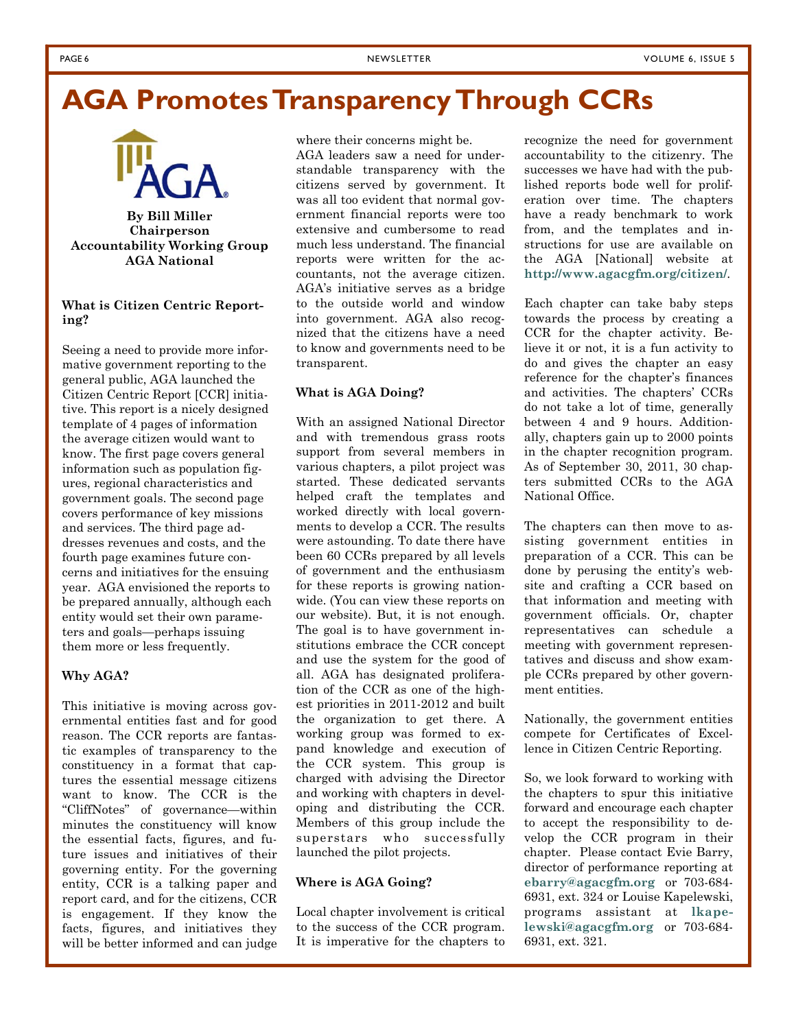#### PAGE 6 NEWSLETTER NEWSLETTER NEWSLETTER NEWSLETTER NEWSLETTER SERVICE SUPPORT OF A SERVICE SUPPORT OF A SERVICE SUPPORT OF A SERVICE SUPPORT OF A SERVICE SUPPORT OF A SERVICE SUPPORT OF A SERVICE SUPPORT OF A SERVICE SUPPO

### **AGA Promotes Transparency Through CCRs**



#### **By Bill Miller Chairperson Accountability Working Group AGA National**

#### **What is Citizen Centric Reporting?**

Seeing a need to provide more informative government reporting to the general public, AGA launched the Citizen Centric Report [CCR] initiative. This report is a nicely designed template of 4 pages of information the average citizen would want to know. The first page covers general information such as population figures, regional characteristics and government goals. The second page covers performance of key missions and services. The third page addresses revenues and costs, and the fourth page examines future concerns and initiatives for the ensuing year. AGA envisioned the reports to be prepared annually, although each entity would set their own parameters and goals—perhaps issuing them more or less frequently.

#### **Why AGA?**

This initiative is moving across governmental entities fast and for good reason. The CCR reports are fantastic examples of transparency to the constituency in a format that captures the essential message citizens want to know. The CCR is the "CliffNotes" of governance—within minutes the constituency will know the essential facts, figures, and future issues and initiatives of their governing entity. For the governing entity, CCR is a talking paper and report card, and for the citizens, CCR is engagement. If they know the facts, figures, and initiatives they will be better informed and can judge

where their concerns might be.

AGA leaders saw a need for understandable transparency with the citizens served by government. It was all too evident that normal government financial reports were too extensive and cumbersome to read much less understand. The financial reports were written for the accountants, not the average citizen. AGA's initiative serves as a bridge to the outside world and window into government. AGA also recognized that the citizens have a need to know and governments need to be transparent.

#### **What is AGA Doing?**

With an assigned National Director and with tremendous grass roots support from several members in various chapters, a pilot project was started. These dedicated servants helped craft the templates and worked directly with local governments to develop a CCR. The results were astounding. To date there have been 60 CCRs prepared by all levels of government and the enthusiasm for these reports is growing nationwide. (You can view these reports on our website). But, it is not enough. The goal is to have government institutions embrace the CCR concept and use the system for the good of all. AGA has designated proliferation of the CCR as one of the highest priorities in 2011-2012 and built the organization to get there. A working group was formed to expand knowledge and execution of the CCR system. This group is charged with advising the Director and working with chapters in developing and distributing the CCR. Members of this group include the superstars who successfully launched the pilot projects.

#### **Where is AGA Going?**

Local chapter involvement is critical to the success of the CCR program. It is imperative for the chapters to recognize the need for government accountability to the citizenry. The successes we have had with the published reports bode well for proliferation over time. The chapters have a ready benchmark to work from, and the templates and instructions for use are available on the AGA [National] website at **http://www.agacgfm.org/citizen/**.

Each chapter can take baby steps towards the process by creating a CCR for the chapter activity. Believe it or not, it is a fun activity to do and gives the chapter an easy reference for the chapter's finances and activities. The chapters' CCRs do not take a lot of time, generally between 4 and 9 hours. Additionally, chapters gain up to 2000 points in the chapter recognition program. As of September 30, 2011, 30 chapters submitted CCRs to the AGA National Office.

The chapters can then move to assisting government entities in preparation of a CCR. This can be done by perusing the entity's website and crafting a CCR based on that information and meeting with government officials. Or, chapter representatives can schedule a meeting with government representatives and discuss and show example CCRs prepared by other government entities.

Nationally, the government entities compete for Certificates of Excellence in Citizen Centric Reporting.

So, we look forward to working with the chapters to spur this initiative forward and encourage each chapter to accept the responsibility to develop the CCR program in their chapter. Please contact Evie Barry, director of performance reporting at **ebarry@agacgfm.org** or 703-684- 6931, ext. 324 or Louise Kapelewski, programs assistant at **lkapelewski@agacgfm.org** or 703-684- 6931, ext. 321.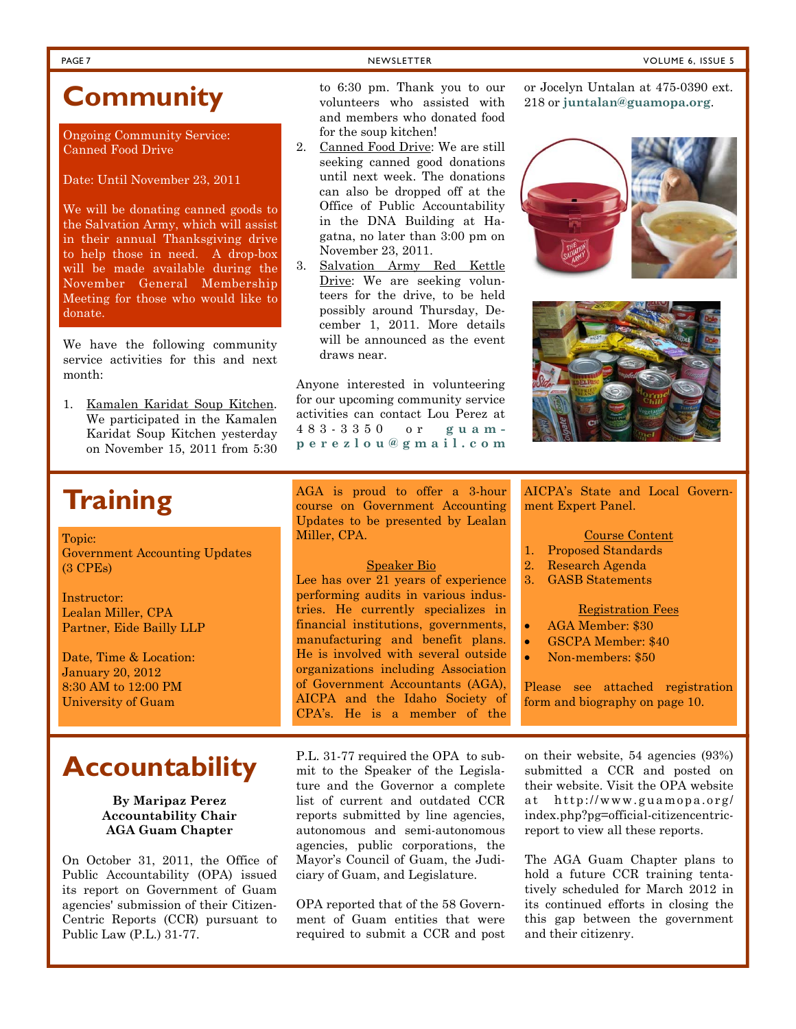### **Community**

Ongoing Community Service: Canned Food Drive

Date: Until November 23, 2011

We will be donating canned goods to the Salvation Army, which will assist in their annual Thanksgiving drive to help those in need. A drop-box will be made available during the November General Membership Meeting for those who would like to donate.

We have the following community service activities for this and next month:

1. Kamalen Karidat Soup Kitchen. We participated in the Kamalen Karidat Soup Kitchen yesterday on November 15, 2011 from 5:30

to 6:30 pm. Thank you to our volunteers who assisted with and members who donated food for the soup kitchen!

- 2. Canned Food Drive: We are still seeking canned good donations until next week. The donations can also be dropped off at the Office of Public Accountability in the DNA Building at Hagatna, no later than 3:00 pm on November 23, 2011.
- 3. Salvation Army Red Kettle Drive: We are seeking volunteers for the drive, to be held possibly around Thursday, December 1, 2011. More details will be announced as the event draws near.

Anyone interested in volunteering for our upcoming community service activities can contact Lou Perez at 483-3350 or **guamperezlou@gmail.com** 218 or **juntalan@guamopa.org**.

or Jocelyn Untalan at 475-0390 ext.





### **Training**

Topic: Government Accounting Updates (3 CPEs)

Instructor: Lealan Miller, CPA Partner, Eide Bailly LLP

Date, Time & Location: January 20, 2012 8:30 AM to 12:00 PM University of Guam

#### **By Maripaz Perez Accountability Chair AGA Guam Chapter**

On October 31, 2011, the Office of Public Accountability (OPA) issued its report on Government of Guam agencies' submission of their Citizen-Centric Reports (CCR) pursuant to Public Law (P.L.) 31-77.

AGA is proud to offer a 3-hour course on Government Accounting Updates to be presented by Lealan Miller, CPA.

#### Speaker Bio

Lee has over 21 years of experience performing audits in various industries. He currently specializes in financial institutions, governments, manufacturing and benefit plans. He is involved with several outside organizations including Association of Government Accountants (AGA), AICPA and the Idaho Society of CPA's. He is a member of the

AICPA's State and Local Government Expert Panel.

- Course Content
- 1. Proposed Standards
- 2. Research Agenda
- 3. GASB Statements

#### Registration Fees

- AGA Member: \$30
- GSCPA Member: \$40
- Non-members: \$50

Please see attached registration form and biography on page 10.

**Accountability** P.L. 31-77 required the OPA to submit to the Speaker of the Legislature and the Governor a complete list of current and outdated CCR reports submitted by line agencies, autonomous and semi-autonomous agencies, public corporations, the Mayor's Council of Guam, the Judiciary of Guam, and Legislature.

> OPA reported that of the 58 Government of Guam entities that were required to submit a CCR and post

on their website, 54 agencies (93%) submitted a CCR and posted on their website. Visit the OPA website at http://www.guamopa.org/ index.php?pg=official-citizencentricreport to view all these reports.

The AGA Guam Chapter plans to hold a future CCR training tentatively scheduled for March 2012 in its continued efforts in closing the this gap between the government and their citizenry.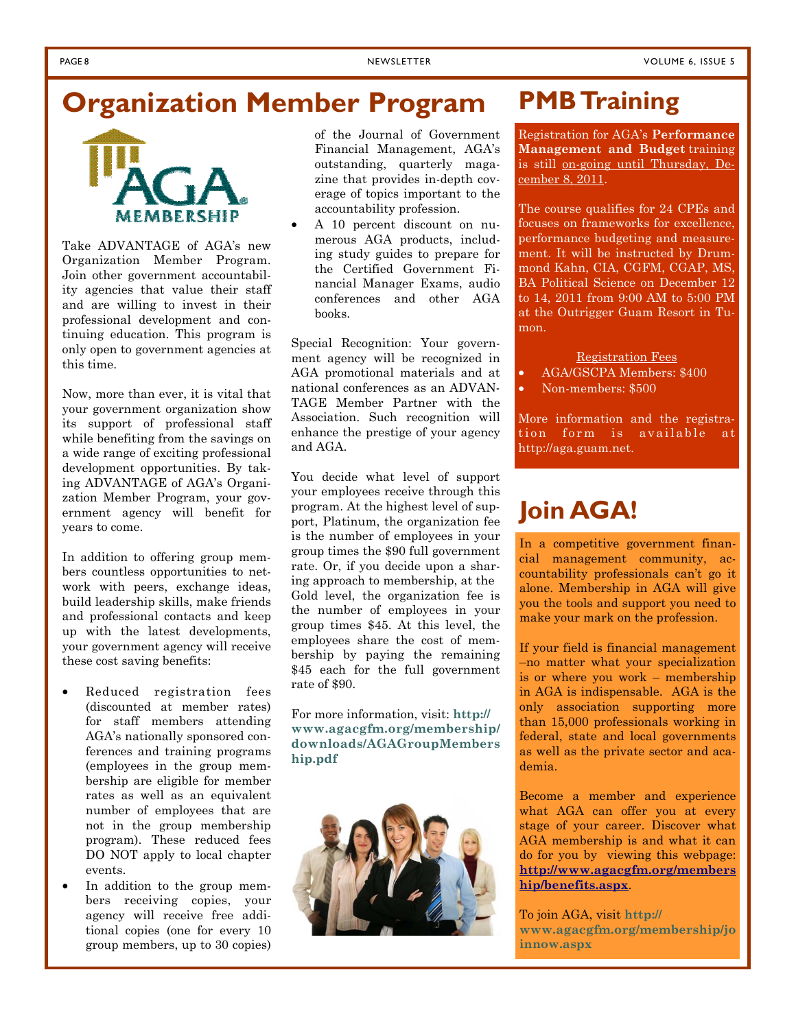### **Organization Member Program**



Take ADVANTAGE of AGA's new Organization Member Program. Join other government accountability agencies that value their staff and are willing to invest in their professional development and continuing education. This program is only open to government agencies at this time.

Now, more than ever, it is vital that your government organization show its support of professional staff while benefiting from the savings on a wide range of exciting professional development opportunities. By taking ADVANTAGE of AGA's Organization Member Program, your government agency will benefit for years to come.

In addition to offering group members countless opportunities to network with peers, exchange ideas, build leadership skills, make friends and professional contacts and keep up with the latest developments, your government agency will receive these cost saving benefits:

- Reduced registration fees (discounted at member rates) for staff members attending AGA's nationally sponsored conferences and training programs (employees in the group membership are eligible for member rates as well as an equivalent number of employees that are not in the group membership program). These reduced fees DO NOT apply to local chapter events.
- In addition to the group members receiving copies, your agency will receive free additional copies (one for every 10 group members, up to 30 copies)

of the Journal of Government Financial Management, AGA's outstanding, quarterly magazine that provides in-depth coverage of topics important to the accountability profession.

• A 10 percent discount on numerous AGA products, including study guides to prepare for the Certified Government Financial Manager Exams, audio conferences and other AGA books.

Special Recognition: Your government agency will be recognized in AGA promotional materials and at national conferences as an ADVAN-TAGE Member Partner with the Association. Such recognition will enhance the prestige of your agency and AGA.

You decide what level of support your employees receive through this program. At the highest level of support, Platinum, the organization fee is the number of employees in your group times the \$90 full government rate. Or, if you decide upon a sharing approach to membership, at the Gold level, the organization fee is the number of employees in your group times \$45. At this level, the employees share the cost of membership by paying the remaining \$45 each for the full government rate of \$90.

For more information, visit: **http:// www.agacgfm.org/membership/ downloads/AGAGroupMembers hip.pdf** 



### **PMB Training**

Registration for AGA's **Performance Management and Budget** training is still on-going until Thursday, December 8, 2011.

The course qualifies for 24 CPEs and focuses on frameworks for excellence, performance budgeting and measurement. It will be instructed by Drummond Kahn, CIA, CGFM, CGAP, MS, BA Political Science on December 12 to 14, 2011 from 9:00 AM to 5:00 PM at the Outrigger Guam Resort in Tumon.

Registration Fees

- AGA/GSCPA Members: \$400
- Non-members: \$500

More information and the registration form is available at http://aga.guam.net.

### **Join AGA!**

In a competitive government financial management community, accountability professionals can't go it alone. Membership in AGA will give you the tools and support you need to make your mark on the profession.

If your field is financial management –no matter what your specialization is or where you work – membership in AGA is indispensable. AGA is the only association supporting more than 15,000 professionals working in federal, state and local governments as well as the private sector and academia.

Become a member and experience what AGA can offer you at every stage of your career. Discover what AGA membership is and what it can do for you by viewing this webpage: **http://www.agacgfm.org/members hip/benefits.aspx**.

To join AGA, visit **http:// www.agacgfm.org/membership/jo innow.aspx**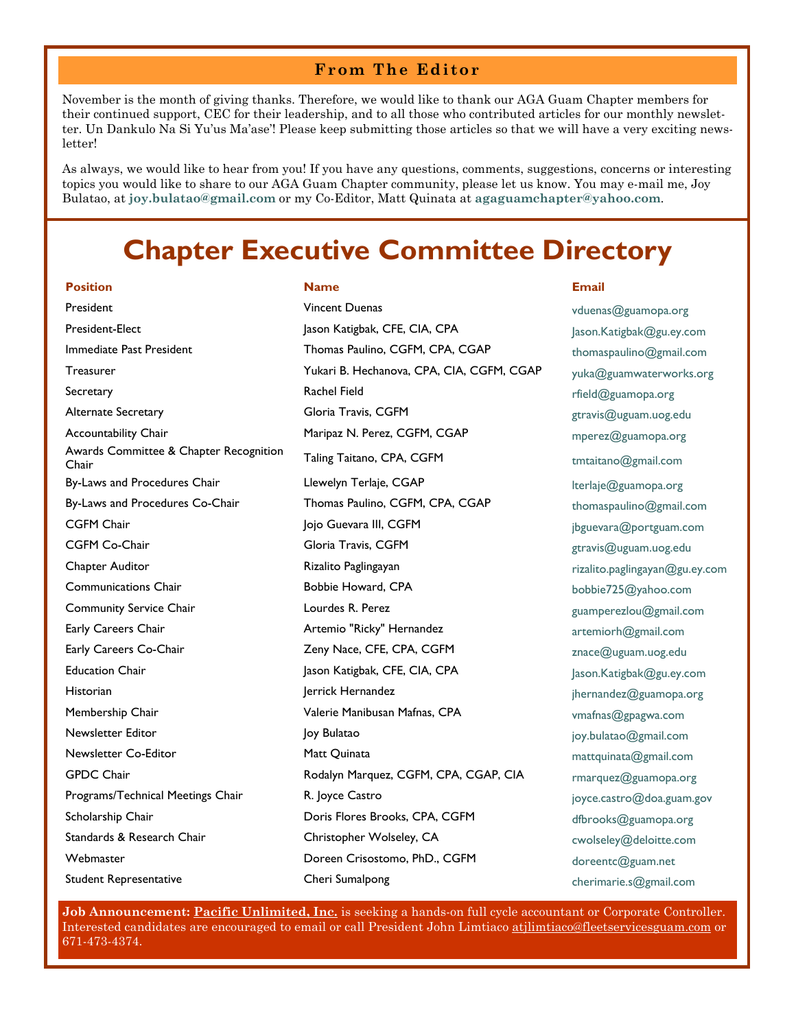### **From The Editor**

November is the month of giving thanks. Therefore, we would like to thank our AGA Guam Chapter members for their continued support, CEC for their leadership, and to all those who contributed articles for our monthly newsletter. Un Dankulo Na Si Yu'us Ma'ase'! Please keep submitting those articles so that we will have a very exciting newsletter!

As always, we would like to hear from you! If you have any questions, comments, suggestions, concerns or interesting topics you would like to share to our AGA Guam Chapter community, please let us know. You may e-mail me, Joy Bulatao, at **joy.bulatao@gmail.com** or my Co-Editor, Matt Quinata at **agaguamchapter@yahoo.com**.

### **Chapter Executive Committee Directory**

#### **Position Name Email**

President **President Example 2018** Vincent Duenas **Vincent Duenas** *Vermenas* vduenas @guamopa.org Awards Committee & Chapter Recognition Student Representative Cheri Sumalpong Cheri Sumalpong cherimarie.s@gmail.com

President-Elect Jason Katigbak, CFE, CIA, CPA Jason.Katigbak@gu.ey.com Immediate Past President Thomas Paulino, CGFM, CPA, CGAP thomaspaulino@gmail.com Treasurer Treasurer The Mukari B. Hechanova, CPA, CIA, CGFM, CGAP yuka@guamwaterworks.org Secretary **Secretary Rachel Field Rachel Field Rachel Field Rachel Field Rachel Field Rachel Field Rachel Field Rachel Field Rachel Field Rachel Field Rachel Field Rachel Field Rachel Field Rach** Alternate Secretary **Gloria Travis, CGFM** and the secretary security of the secretary of the secretary of the second to the secretary of the second to the second the second of the second to the second the second of the sec Accountability Chair **Maripaz N. Perez, CGFM, CGAP** mperez@guamopa.org Awards Committee & Chapter Recognition Taling Taitano, CPA, CGFM Thair tmtaitano@gmail.com By-Laws and Procedures Chair **Llewelyn Terlaje, CGAP** lterlaje@guamopa.org By-Laws and Procedures Co-Chair Thomas Paulino, CGFM, CPA, CGAP thomaspaulino@gmail.com CGFM Chair **CGFM** Chair Jojo Guevara III, CGFM **1998** jbguevara@portguam.com CGFM Co-Chair **Carry Community Community Community** Gloria Travis, CGFM Co-Chair gtravis@uguam.uog.edu Chapter Auditor **Rizalito Paglingayan** Rizalito Paglingayan Rizalito.paglingayan@gu.ey.com Communications Chair **Bobbie Howard, CPA** bobbie725@yahoo.com Community Service Chair **Lourdes R. Perez Community Service Chair** Community Service Chair Early Careers Chair **Artemio "Ricky" Hernandez** artemiorh@gmail.com Early Careers Co-Chair **Zeny Nace, CFE, CPA, CGFM** znace@uguam.uog.edu Education Chair **Jason Katigbak, CFE, CIA, CPA** Jason.Katigbak@gu.ey.com Historian and the Hernandez degree in the Hernandez degree in the property internandez  $\textcircled{1}$  inernandez  $\textcircled{2}$ guamopa.org Membership Chair **Valerie Manibusan Mafnas, CPA** vmafnas@gpagwa.com Newsletter Editor **Mature 2018** Joy Bulatao **Joy Bulatao** *Joy Bulatao**joy.bulatao@gmail.com* Newsletter Co-Editor **Matt Quinata** Matt Quinata matt quinata mattquinata matt matt and matt matt of matt of matt GPDC Chair **Chair** Rodalyn Marquez, CGFM, CPA, CGAP, CIA rmarquez@guamopa.org Programs/Technical Meetings Chair **R. Joyce Castro Castro Communisty Constant** joyce.castro@doa.guam.gov Scholarship Chair **Scholarship Chair** Doris Flores Brooks, CPA, CGFM dfbrooks@guamopa.org Standards & Research Chair **Christopher Wolseley, CA** cwolseley@deloitte.com Webmaster **Doreen Crisostomo, PhD., CGFM** doreentc@guam.net

**Job Announcement: Pacific Unlimited, Inc.** is seeking a hands-on full cycle accountant or Corporate Controller. Interested candidates are encouraged to email or call President John Limtiaco atjlimtiaco@fleetservicesguam.com or 671-473-4374.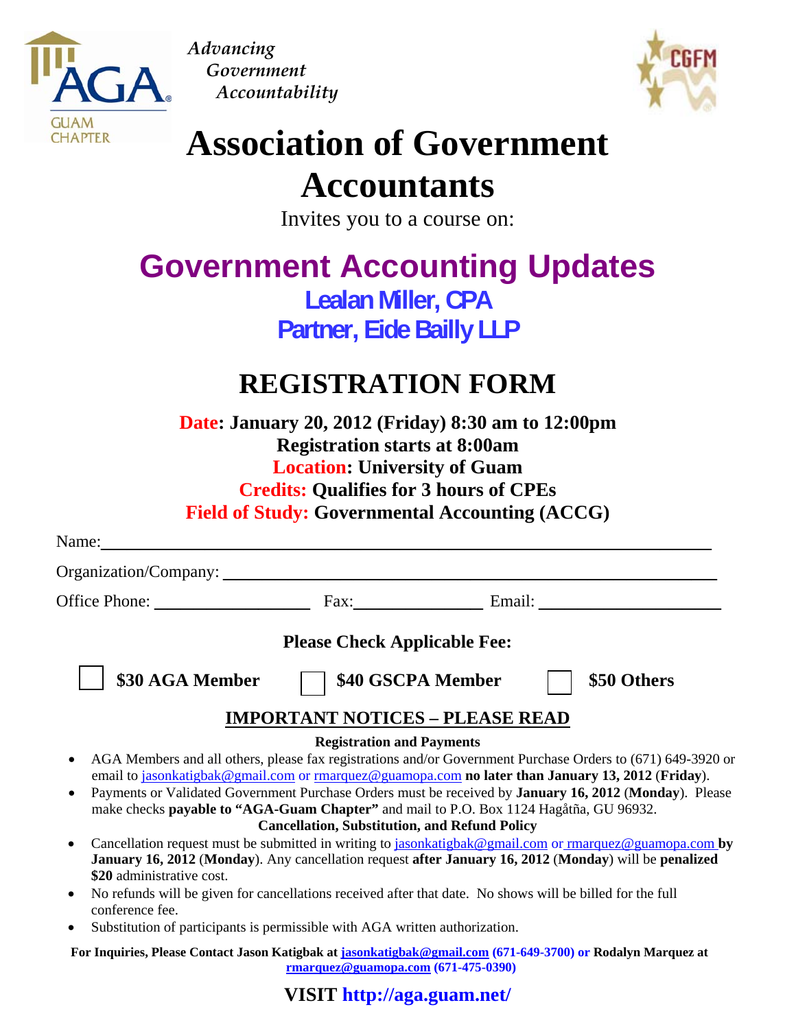

*Advancing Government Accountability*



# **Association of Government**

## **Accountants**

Invites you to a course on:

## **Government Accounting Updates**

**Lealan Miller, CPA Partner, Eide Bailly LLP** 

## **REGISTRATION FORM**

**Date: January 20, 2012 (Friday) 8:30 am to 12:00pm Registration starts at 8:00am Location: University of Guam Credits: Qualifies for 3 hours of CPEs Field of Study: Governmental Accounting (ACCG)** 

| Name:                                                                                                                                     |                                                      |                   |                    |
|-------------------------------------------------------------------------------------------------------------------------------------------|------------------------------------------------------|-------------------|--------------------|
|                                                                                                                                           |                                                      |                   |                    |
|                                                                                                                                           |                                                      |                   | Fax: Email: Email: |
|                                                                                                                                           | <b>Please Check Applicable Fee:</b>                  |                   |                    |
| \$30 AGA Member                                                                                                                           |                                                      | \$40 GSCPA Member | \$50 Others        |
|                                                                                                                                           | <b>IMPORTANT NOTICES - PLEASE READ</b>               |                   |                    |
|                                                                                                                                           | <b>Registration and Payments</b>                     |                   |                    |
| AGA Members and all others, please fax registrations and/or Government Purchase Orders to (671) 649-3920 or<br>$\bullet$                  |                                                      |                   |                    |
| email to jasonkatigbak@gmail.com or rmarquez@guamopa.com no later than January 13, 2012 (Friday).                                         |                                                      |                   |                    |
| Payments or Validated Government Purchase Orders must be received by <b>January 16, 2012 (Monday)</b> . Please                            |                                                      |                   |                    |
| make checks <b>payable to "AGA-Guam Chapter"</b> and mail to P.O. Box 1124 Hagåtña, GU 96932.                                             |                                                      |                   |                    |
|                                                                                                                                           | <b>Cancellation, Substitution, and Refund Policy</b> |                   |                    |
| Cancellation request must be submitted in writing to jasonkatigbak@gmail.com or rmarquez@guamopa.com by                                   |                                                      |                   |                    |
| January 16, 2012 (Monday). Any cancellation request after January 16, 2012 (Monday) will be penalized                                     |                                                      |                   |                    |
| \$20 administrative cost.                                                                                                                 |                                                      |                   |                    |
| No refunds will be given for cancellations received after that date. No shows will be billed for the full<br>$\bullet$<br>conference fee. |                                                      |                   |                    |
| Substitution of participants is permissible with $\Delta G \Delta$ written authorization                                                  |                                                      |                   |                    |

• Substitution of participants is permissible with AGA written authorization.

**For Inquiries, Please Contact Jason Katigbak at jasonkatigbak@gmail.com (671-649-3700) or Rodalyn Marquez at rmarquez@guamopa.com (671-475-0390)**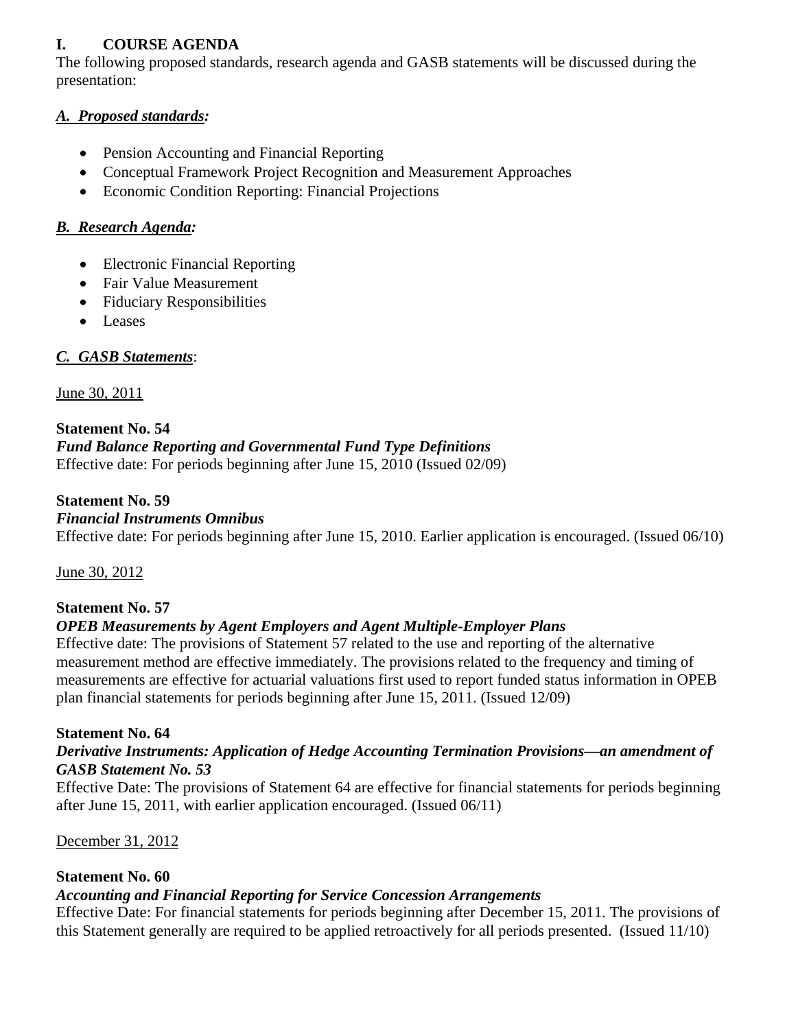### **I. COURSE AGENDA**

The following proposed standards, research agenda and GASB statements will be discussed during the presentation:

### *A. Proposed standards:*

- Pension Accounting and Financial Reporting
- Conceptual Framework Project Recognition and Measurement Approaches
- Economic Condition Reporting: Financial Projections

### *B. Research Agenda:*

- Electronic Financial Reporting
- Fair Value Measurement
- Fiduciary Responsibilities
- Leases

### *C. GASB Statements*:

### June 30, 2011

### **Statement No. 54**

### *Fund Balance Reporting and Governmental Fund Type Definitions*

Effective date: For periods beginning after June 15, 2010 (Issued 02/09)

### **Statement No. 59**

### *Financial Instruments Omnibus*

Effective date: For periods beginning after June 15, 2010. Earlier application is encouraged. (Issued 06/10)

June 30, 2012

### **Statement No. 57**

### *OPEB Measurements by Agent Employers and Agent Multiple-Employer Plans*

Effective date: The provisions of Statement 57 related to the use and reporting of the alternative measurement method are effective immediately. The provisions related to the frequency and timing of measurements are effective for actuarial valuations first used to report funded status information in OPEB plan financial statements for periods beginning after June 15, 2011. (Issued 12/09)

### **Statement No. 64**

### *Derivative Instruments: Application of Hedge Accounting Termination Provisions—an amendment of GASB Statement No. 53*

Effective Date: The provisions of Statement 64 are effective for financial statements for periods beginning after June 15, 2011, with earlier application encouraged. (Issued 06/11)

December 31, 2012

### **Statement No. 60**

### *Accounting and Financial Reporting for Service Concession Arrangements*

Effective Date: For financial statements for periods beginning after December 15, 2011. The provisions of this Statement generally are required to be applied retroactively for all periods presented. (Issued 11/10)